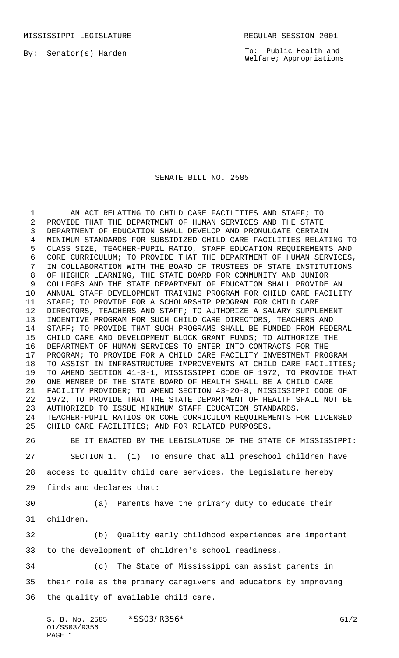By: Senator(s) Harden

To: Public Health and Welfare; Appropriations

## SENATE BILL NO. 2585

 AN ACT RELATING TO CHILD CARE FACILITIES AND STAFF; TO PROVIDE THAT THE DEPARTMENT OF HUMAN SERVICES AND THE STATE DEPARTMENT OF EDUCATION SHALL DEVELOP AND PROMULGATE CERTAIN MINIMUM STANDARDS FOR SUBSIDIZED CHILD CARE FACILITIES RELATING TO CLASS SIZE, TEACHER-PUPIL RATIO, STAFF EDUCATION REQUIREMENTS AND CORE CURRICULUM; TO PROVIDE THAT THE DEPARTMENT OF HUMAN SERVICES, IN COLLABORATION WITH THE BOARD OF TRUSTEES OF STATE INSTITUTIONS OF HIGHER LEARNING, THE STATE BOARD FOR COMMUNITY AND JUNIOR COLLEGES AND THE STATE DEPARTMENT OF EDUCATION SHALL PROVIDE AN ANNUAL STAFF DEVELOPMENT TRAINING PROGRAM FOR CHILD CARE FACILITY STAFF; TO PROVIDE FOR A SCHOLARSHIP PROGRAM FOR CHILD CARE DIRECTORS, TEACHERS AND STAFF; TO AUTHORIZE A SALARY SUPPLEMENT INCENTIVE PROGRAM FOR SUCH CHILD CARE DIRECTORS, TEACHERS AND STAFF; TO PROVIDE THAT SUCH PROGRAMS SHALL BE FUNDED FROM FEDERAL CHILD CARE AND DEVELOPMENT BLOCK GRANT FUNDS; TO AUTHORIZE THE DEPARTMENT OF HUMAN SERVICES TO ENTER INTO CONTRACTS FOR THE PROGRAM; TO PROVIDE FOR A CHILD CARE FACILITY INVESTMENT PROGRAM TO ASSIST IN INFRASTRUCTURE IMPROVEMENTS AT CHILD CARE FACILITIES; TO AMEND SECTION 41-3-1, MISSISSIPPI CODE OF 1972, TO PROVIDE THAT ONE MEMBER OF THE STATE BOARD OF HEALTH SHALL BE A CHILD CARE FACILITY PROVIDER; TO AMEND SECTION 43-20-8, MISSISSIPPI CODE OF 1972, TO PROVIDE THAT THE STATE DEPARTMENT OF HEALTH SHALL NOT BE AUTHORIZED TO ISSUE MINIMUM STAFF EDUCATION STANDARDS, TEACHER-PUPIL RATIOS OR CORE CURRICULUM REQUIREMENTS FOR LICENSED CHILD CARE FACILITIES; AND FOR RELATED PURPOSES.

 BE IT ENACTED BY THE LEGISLATURE OF THE STATE OF MISSISSIPPI: SECTION 1. (1) To ensure that all preschool children have access to quality child care services, the Legislature hereby finds and declares that:

(a) Parents have the primary duty to educate their

children.

 (b) Quality early childhood experiences are important to the development of children's school readiness.

(c) The State of Mississippi can assist parents in

their role as the primary caregivers and educators by improving

the quality of available child care.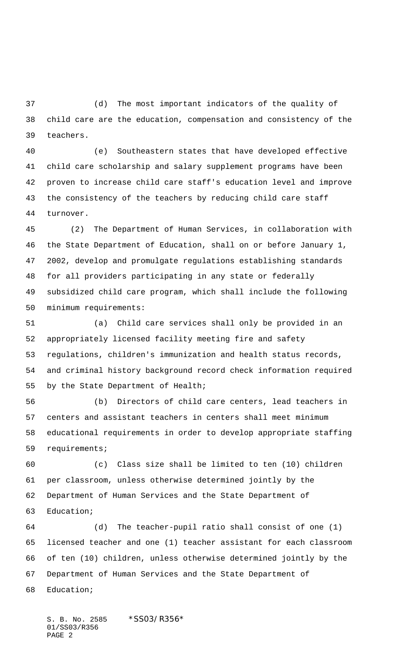(d) The most important indicators of the quality of child care are the education, compensation and consistency of the teachers.

 (e) Southeastern states that have developed effective child care scholarship and salary supplement programs have been proven to increase child care staff's education level and improve the consistency of the teachers by reducing child care staff turnover.

 (2) The Department of Human Services, in collaboration with the State Department of Education, shall on or before January 1, 2002, develop and promulgate regulations establishing standards for all providers participating in any state or federally subsidized child care program, which shall include the following minimum requirements:

 (a) Child care services shall only be provided in an appropriately licensed facility meeting fire and safety regulations, children's immunization and health status records, and criminal history background record check information required by the State Department of Health;

 (b) Directors of child care centers, lead teachers in centers and assistant teachers in centers shall meet minimum educational requirements in order to develop appropriate staffing requirements;

 (c) Class size shall be limited to ten (10) children per classroom, unless otherwise determined jointly by the Department of Human Services and the State Department of Education;

 (d) The teacher-pupil ratio shall consist of one (1) licensed teacher and one (1) teacher assistant for each classroom of ten (10) children, unless otherwise determined jointly by the Department of Human Services and the State Department of Education;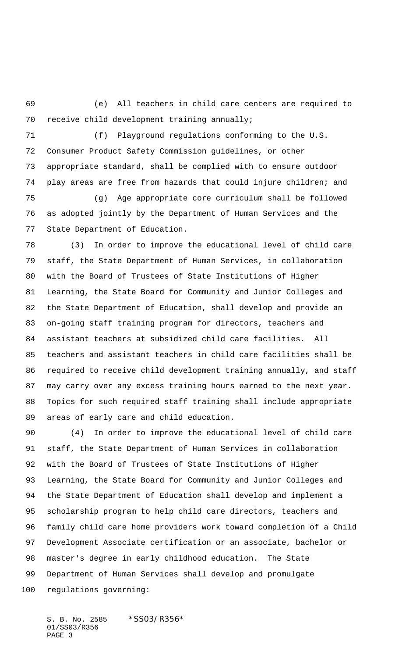(e) All teachers in child care centers are required to receive child development training annually;

 (f) Playground regulations conforming to the U.S. Consumer Product Safety Commission guidelines, or other appropriate standard, shall be complied with to ensure outdoor play areas are free from hazards that could injure children; and

 (g) Age appropriate core curriculum shall be followed as adopted jointly by the Department of Human Services and the State Department of Education.

 (3) In order to improve the educational level of child care staff, the State Department of Human Services, in collaboration with the Board of Trustees of State Institutions of Higher Learning, the State Board for Community and Junior Colleges and the State Department of Education, shall develop and provide an on-going staff training program for directors, teachers and assistant teachers at subsidized child care facilities. All teachers and assistant teachers in child care facilities shall be required to receive child development training annually, and staff may carry over any excess training hours earned to the next year. Topics for such required staff training shall include appropriate areas of early care and child education.

 (4) In order to improve the educational level of child care staff, the State Department of Human Services in collaboration with the Board of Trustees of State Institutions of Higher Learning, the State Board for Community and Junior Colleges and the State Department of Education shall develop and implement a scholarship program to help child care directors, teachers and family child care home providers work toward completion of a Child Development Associate certification or an associate, bachelor or master's degree in early childhood education. The State Department of Human Services shall develop and promulgate regulations governing: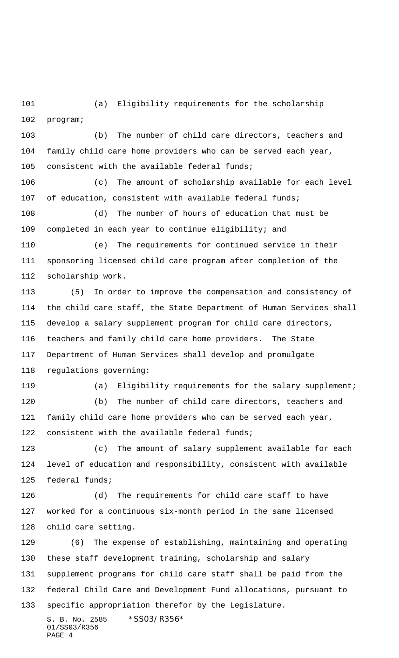(a) Eligibility requirements for the scholarship program;

 (b) The number of child care directors, teachers and family child care home providers who can be served each year, consistent with the available federal funds;

 (c) The amount of scholarship available for each level of education, consistent with available federal funds;

 (d) The number of hours of education that must be completed in each year to continue eligibility; and

 (e) The requirements for continued service in their sponsoring licensed child care program after completion of the scholarship work.

 (5) In order to improve the compensation and consistency of the child care staff, the State Department of Human Services shall develop a salary supplement program for child care directors, teachers and family child care home providers. The State Department of Human Services shall develop and promulgate regulations governing:

(a) Eligibility requirements for the salary supplement;

 (b) The number of child care directors, teachers and family child care home providers who can be served each year, 122 consistent with the available federal funds;

 (c) The amount of salary supplement available for each level of education and responsibility, consistent with available federal funds;

 (d) The requirements for child care staff to have worked for a continuous six-month period in the same licensed child care setting.

 (6) The expense of establishing, maintaining and operating these staff development training, scholarship and salary supplement programs for child care staff shall be paid from the federal Child Care and Development Fund allocations, pursuant to specific appropriation therefor by the Legislature.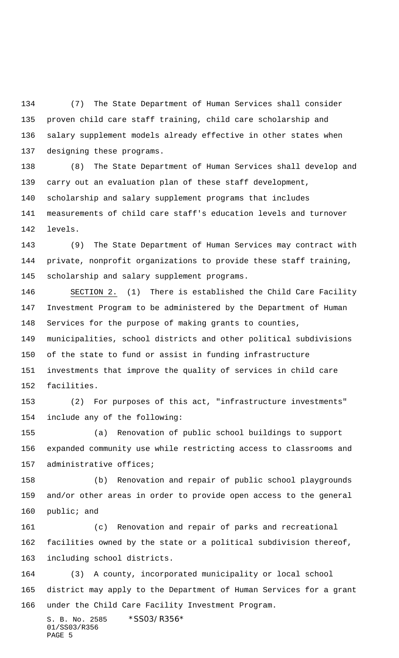(7) The State Department of Human Services shall consider proven child care staff training, child care scholarship and salary supplement models already effective in other states when designing these programs.

 (8) The State Department of Human Services shall develop and carry out an evaluation plan of these staff development, scholarship and salary supplement programs that includes measurements of child care staff's education levels and turnover levels.

 (9) The State Department of Human Services may contract with private, nonprofit organizations to provide these staff training, scholarship and salary supplement programs.

 SECTION 2. (1) There is established the Child Care Facility Investment Program to be administered by the Department of Human Services for the purpose of making grants to counties, municipalities, school districts and other political subdivisions of the state to fund or assist in funding infrastructure investments that improve the quality of services in child care facilities.

 (2) For purposes of this act, "infrastructure investments" include any of the following:

 (a) Renovation of public school buildings to support expanded community use while restricting access to classrooms and administrative offices;

 (b) Renovation and repair of public school playgrounds and/or other areas in order to provide open access to the general public; and

 (c) Renovation and repair of parks and recreational facilities owned by the state or a political subdivision thereof, including school districts.

 (3) A county, incorporated municipality or local school district may apply to the Department of Human Services for a grant under the Child Care Facility Investment Program.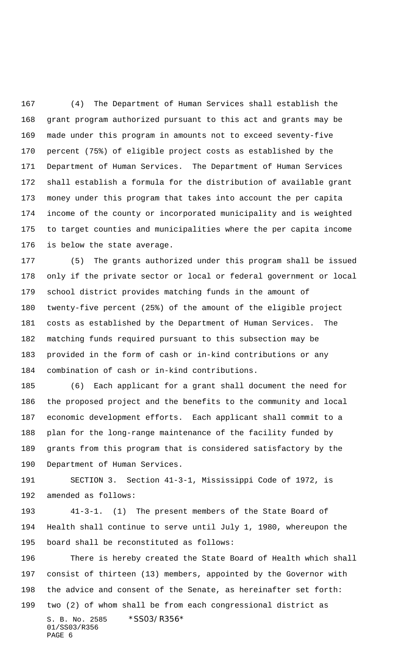(4) The Department of Human Services shall establish the grant program authorized pursuant to this act and grants may be made under this program in amounts not to exceed seventy-five percent (75%) of eligible project costs as established by the Department of Human Services. The Department of Human Services shall establish a formula for the distribution of available grant money under this program that takes into account the per capita income of the county or incorporated municipality and is weighted to target counties and municipalities where the per capita income is below the state average.

 (5) The grants authorized under this program shall be issued only if the private sector or local or federal government or local school district provides matching funds in the amount of twenty-five percent (25%) of the amount of the eligible project costs as established by the Department of Human Services. The matching funds required pursuant to this subsection may be provided in the form of cash or in-kind contributions or any combination of cash or in-kind contributions.

 (6) Each applicant for a grant shall document the need for the proposed project and the benefits to the community and local economic development efforts. Each applicant shall commit to a plan for the long-range maintenance of the facility funded by grants from this program that is considered satisfactory by the Department of Human Services.

 SECTION 3. Section 41-3-1, Mississippi Code of 1972, is amended as follows:

 41-3-1. (1) The present members of the State Board of Health shall continue to serve until July 1, 1980, whereupon the board shall be reconstituted as follows:

S. B. No. 2585 \*SS03/R356\* 01/SS03/R356 PAGE 6 There is hereby created the State Board of Health which shall consist of thirteen (13) members, appointed by the Governor with the advice and consent of the Senate, as hereinafter set forth: two (2) of whom shall be from each congressional district as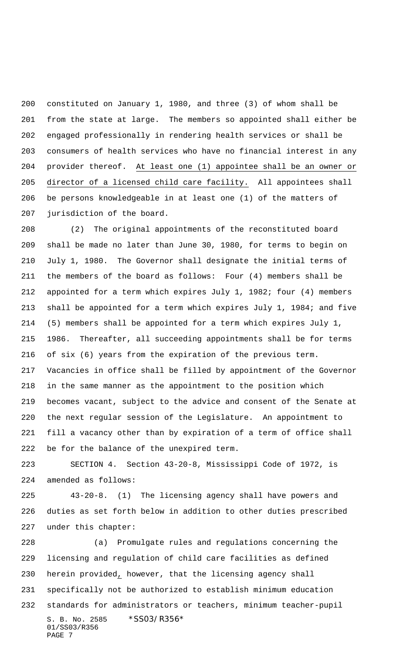constituted on January 1, 1980, and three (3) of whom shall be from the state at large. The members so appointed shall either be engaged professionally in rendering health services or shall be consumers of health services who have no financial interest in any 204 provider thereof. At least one (1) appointee shall be an owner or director of a licensed child care facility. All appointees shall be persons knowledgeable in at least one (1) of the matters of jurisdiction of the board.

 (2) The original appointments of the reconstituted board shall be made no later than June 30, 1980, for terms to begin on July 1, 1980. The Governor shall designate the initial terms of the members of the board as follows: Four (4) members shall be appointed for a term which expires July 1, 1982; four (4) members shall be appointed for a term which expires July 1, 1984; and five (5) members shall be appointed for a term which expires July 1, 1986. Thereafter, all succeeding appointments shall be for terms of six (6) years from the expiration of the previous term. Vacancies in office shall be filled by appointment of the Governor in the same manner as the appointment to the position which becomes vacant, subject to the advice and consent of the Senate at the next regular session of the Legislature. An appointment to fill a vacancy other than by expiration of a term of office shall be for the balance of the unexpired term.

 SECTION 4. Section 43-20-8, Mississippi Code of 1972, is amended as follows:

 43-20-8. (1) The licensing agency shall have powers and duties as set forth below in addition to other duties prescribed under this chapter:

S. B. No. 2585 \*SS03/R356\* 01/SS03/R356 PAGE 7 (a) Promulgate rules and regulations concerning the licensing and regulation of child care facilities as defined herein provided, however, that the licensing agency shall specifically not be authorized to establish minimum education standards for administrators or teachers, minimum teacher-pupil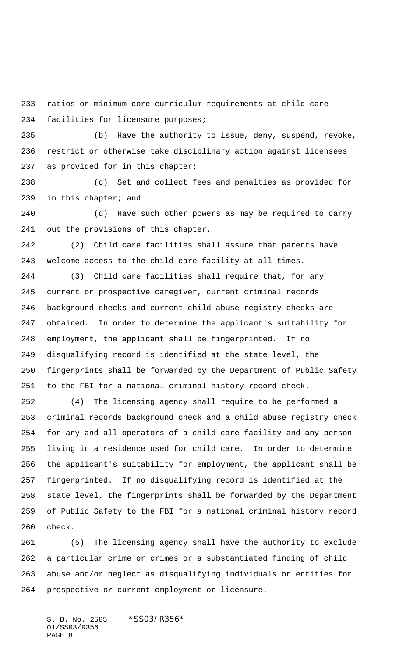ratios or minimum core curriculum requirements at child care facilities for licensure purposes;

 (b) Have the authority to issue, deny, suspend, revoke, restrict or otherwise take disciplinary action against licensees as provided for in this chapter;

 (c) Set and collect fees and penalties as provided for in this chapter; and

 (d) Have such other powers as may be required to carry out the provisions of this chapter.

 (2) Child care facilities shall assure that parents have welcome access to the child care facility at all times.

 (3) Child care facilities shall require that, for any current or prospective caregiver, current criminal records background checks and current child abuse registry checks are obtained. In order to determine the applicant's suitability for employment, the applicant shall be fingerprinted. If no disqualifying record is identified at the state level, the fingerprints shall be forwarded by the Department of Public Safety to the FBI for a national criminal history record check.

 (4) The licensing agency shall require to be performed a criminal records background check and a child abuse registry check for any and all operators of a child care facility and any person living in a residence used for child care. In order to determine the applicant's suitability for employment, the applicant shall be fingerprinted. If no disqualifying record is identified at the state level, the fingerprints shall be forwarded by the Department of Public Safety to the FBI for a national criminal history record check.

 (5) The licensing agency shall have the authority to exclude a particular crime or crimes or a substantiated finding of child abuse and/or neglect as disqualifying individuals or entities for prospective or current employment or licensure.